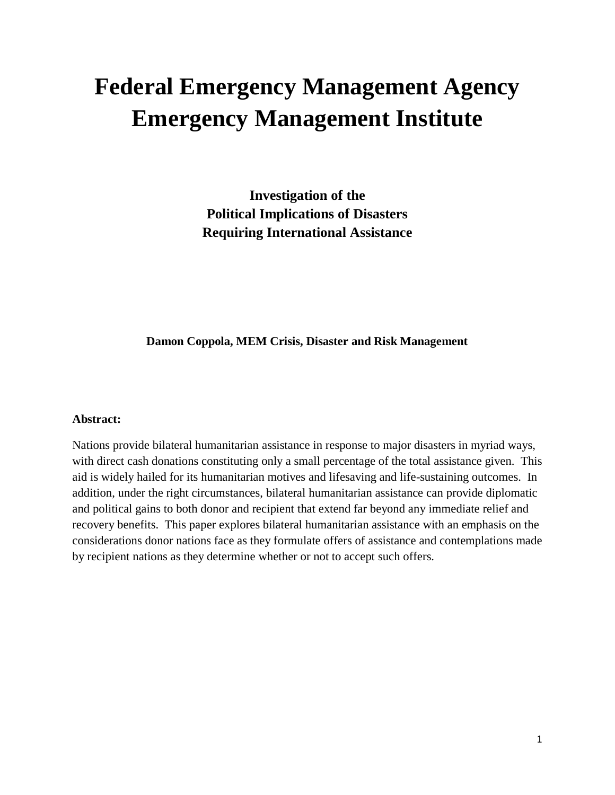# **Federal Emergency Management Agency Emergency Management Institute**

**Investigation of the Political Implications of Disasters Requiring International Assistance**

#### **Damon Coppola, MEM Crisis, Disaster and Risk Management**

#### **Abstract:**

Nations provide bilateral humanitarian assistance in response to major disasters in myriad ways, with direct cash donations constituting only a small percentage of the total assistance given. This aid is widely hailed for its humanitarian motives and lifesaving and life-sustaining outcomes. In addition, under the right circumstances, bilateral humanitarian assistance can provide diplomatic and political gains to both donor and recipient that extend far beyond any immediate relief and recovery benefits. This paper explores bilateral humanitarian assistance with an emphasis on the considerations donor nations face as they formulate offers of assistance and contemplations made by recipient nations as they determine whether or not to accept such offers.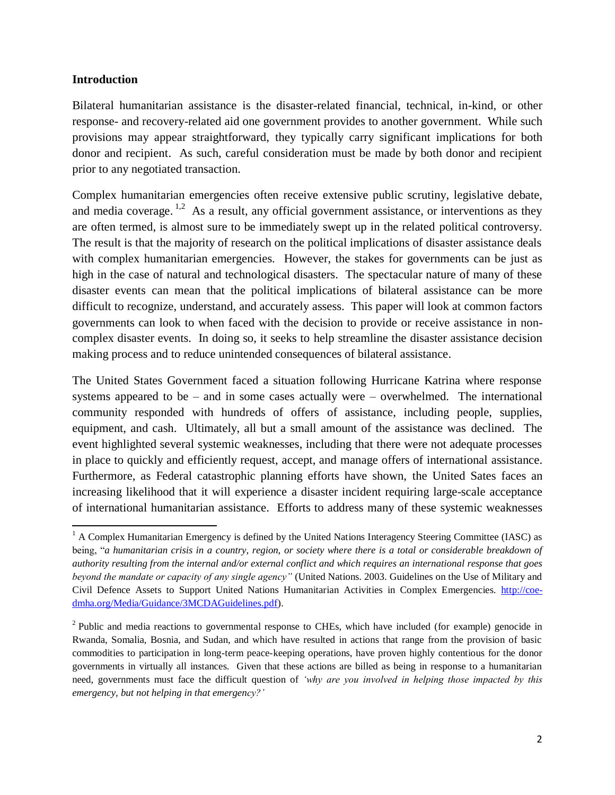## **Introduction**

l

Bilateral humanitarian assistance is the disaster-related financial, technical, in-kind, or other response- and recovery-related aid one government provides to another government. While such provisions may appear straightforward, they typically carry significant implications for both donor and recipient. As such, careful consideration must be made by both donor and recipient prior to any negotiated transaction.

Complex humanitarian emergencies often receive extensive public scrutiny, legislative debate, and media coverage.<sup>1,2</sup> As a result, any official government assistance, or interventions as they are often termed, is almost sure to be immediately swept up in the related political controversy. The result is that the majority of research on the political implications of disaster assistance deals with complex humanitarian emergencies. However, the stakes for governments can be just as high in the case of natural and technological disasters. The spectacular nature of many of these disaster events can mean that the political implications of bilateral assistance can be more difficult to recognize, understand, and accurately assess. This paper will look at common factors governments can look to when faced with the decision to provide or receive assistance in noncomplex disaster events. In doing so, it seeks to help streamline the disaster assistance decision making process and to reduce unintended consequences of bilateral assistance.

The United States Government faced a situation following Hurricane Katrina where response systems appeared to be – and in some cases actually were – overwhelmed. The international community responded with hundreds of offers of assistance, including people, supplies, equipment, and cash. Ultimately, all but a small amount of the assistance was declined. The event highlighted several systemic weaknesses, including that there were not adequate processes in place to quickly and efficiently request, accept, and manage offers of international assistance. Furthermore, as Federal catastrophic planning efforts have shown, the United Sates faces an increasing likelihood that it will experience a disaster incident requiring large-scale acceptance of international humanitarian assistance. Efforts to address many of these systemic weaknesses

 $1$  A Complex Humanitarian Emergency is defined by the United Nations Interagency Steering Committee (IASC) as being, "*a humanitarian crisis in a country, region, or society where there is a total or considerable breakdown of authority resulting from the internal and/or external conflict and which requires an international response that goes beyond the mandate or capacity of any single agency"* (United Nations. 2003. Guidelines on the Use of Military and Civil Defence Assets to Support United Nations Humanitarian Activities in Complex Emergencies. [http://coe](http://coe-dmha.org/Media/Guidance/3MCDAGuidelines.pdf)[dmha.org/Media/Guidance/3MCDAGuidelines.pdf\)](http://coe-dmha.org/Media/Guidance/3MCDAGuidelines.pdf).

<sup>&</sup>lt;sup>2</sup> Public and media reactions to governmental response to CHEs, which have included (for example) genocide in Rwanda, Somalia, Bosnia, and Sudan, and which have resulted in actions that range from the provision of basic commodities to participation in long-term peace-keeping operations, have proven highly contentious for the donor governments in virtually all instances. Given that these actions are billed as being in response to a humanitarian need, governments must face the difficult question of *'why are you involved in helping those impacted by this emergency, but not helping in that emergency?'*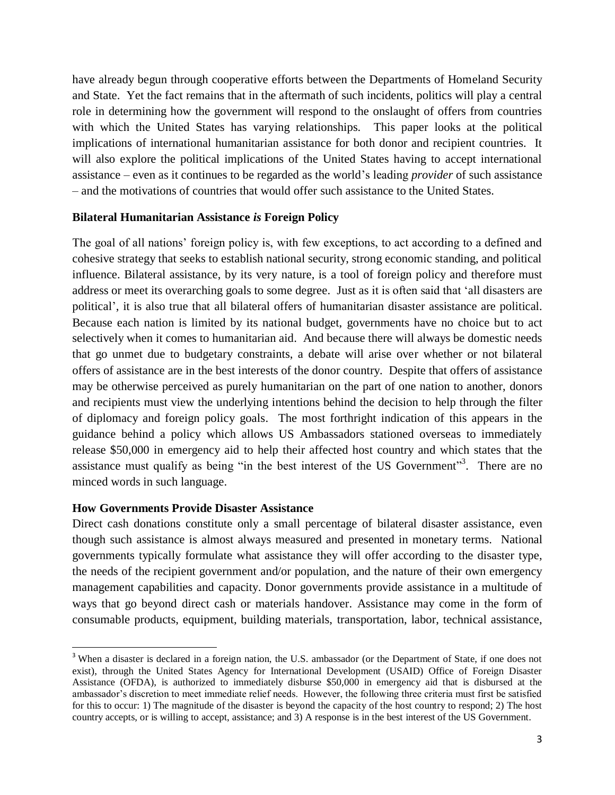have already begun through cooperative efforts between the Departments of Homeland Security and State. Yet the fact remains that in the aftermath of such incidents, politics will play a central role in determining how the government will respond to the onslaught of offers from countries with which the United States has varying relationships. This paper looks at the political implications of international humanitarian assistance for both donor and recipient countries. It will also explore the political implications of the United States having to accept international assistance – even as it continues to be regarded as the world's leading *provider* of such assistance – and the motivations of countries that would offer such assistance to the United States.

## **Bilateral Humanitarian Assistance** *is* **Foreign Policy**

The goal of all nations' foreign policy is, with few exceptions, to act according to a defined and cohesive strategy that seeks to establish national security, strong economic standing, and political influence. Bilateral assistance, by its very nature, is a tool of foreign policy and therefore must address or meet its overarching goals to some degree. Just as it is often said that 'all disasters are political', it is also true that all bilateral offers of humanitarian disaster assistance are political. Because each nation is limited by its national budget, governments have no choice but to act selectively when it comes to humanitarian aid. And because there will always be domestic needs that go unmet due to budgetary constraints, a debate will arise over whether or not bilateral offers of assistance are in the best interests of the donor country. Despite that offers of assistance may be otherwise perceived as purely humanitarian on the part of one nation to another, donors and recipients must view the underlying intentions behind the decision to help through the filter of diplomacy and foreign policy goals. The most forthright indication of this appears in the guidance behind a policy which allows US Ambassadors stationed overseas to immediately release \$50,000 in emergency aid to help their affected host country and which states that the assistance must qualify as being "in the best interest of the US Government"<sup>3</sup>. There are no minced words in such language.

## **How Governments Provide Disaster Assistance**

 $\overline{a}$ 

Direct cash donations constitute only a small percentage of bilateral disaster assistance, even though such assistance is almost always measured and presented in monetary terms. National governments typically formulate what assistance they will offer according to the disaster type, the needs of the recipient government and/or population, and the nature of their own emergency management capabilities and capacity. Donor governments provide assistance in a multitude of ways that go beyond direct cash or materials handover. Assistance may come in the form of consumable products, equipment, building materials, transportation, labor, technical assistance,

<sup>&</sup>lt;sup>3</sup> When a disaster is declared in a foreign nation, the U.S. ambassador (or the Department of State, if one does not exist), through the United States Agency for International Development (USAID) Office of Foreign Disaster Assistance (OFDA), is authorized to immediately disburse \$50,000 in emergency aid that is disbursed at the ambassador's discretion to meet immediate relief needs. However, the following three criteria must first be satisfied for this to occur: 1) The magnitude of the disaster is beyond the capacity of the host country to respond; 2) The host country accepts, or is willing to accept, assistance; and 3) A response is in the best interest of the US Government.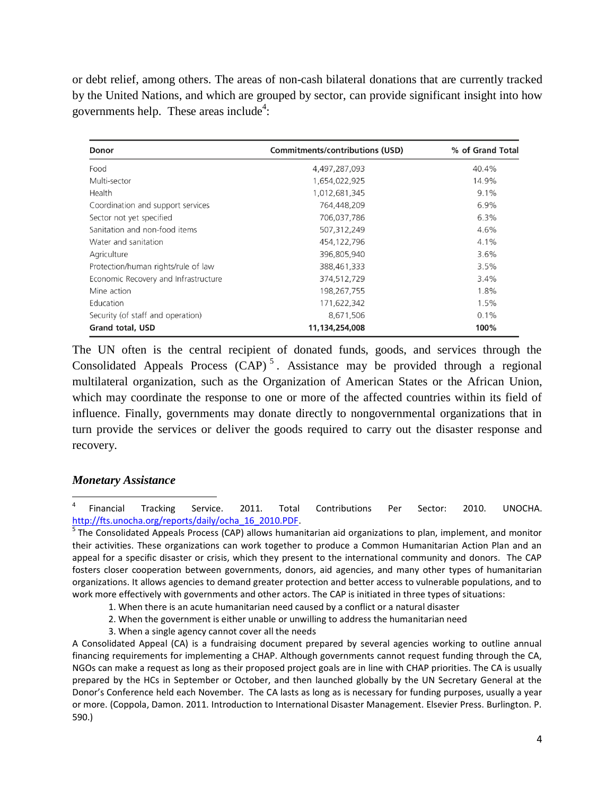or debt relief, among others. The areas of non-cash bilateral donations that are currently tracked by the United Nations, and which are grouped by sector, can provide significant insight into how governments help. These areas include<sup>4</sup>:

| <b>Donor</b>                         | Commitments/contributions (USD) | % of Grand Total |
|--------------------------------------|---------------------------------|------------------|
| Food                                 | 4,497,287,093                   | 40.4%            |
| Multi-sector                         | 1,654,022,925                   | 14.9%            |
| Health                               | 1,012,681,345                   | 9.1%             |
| Coordination and support services    | 764,448,209                     | 6.9%             |
| Sector not yet specified             | 706,037,786                     | 6.3%             |
| Sanitation and non-food items        | 507,312,249                     | 4.6%             |
| Water and sanitation                 | 454,122,796                     | 4.1%             |
| Agriculture                          | 396,805,940                     | 3.6%             |
| Protection/human rights/rule of law  | 388,461,333                     | 3.5%             |
| Economic Recovery and Infrastructure | 374,512,729                     | $3.4\%$          |
| Mine action                          | 198,267,755                     | 1.8%             |
| Education                            | 171,622,342                     | 1.5%             |
| Security (of staff and operation)    | 8,671,506                       | 0.1%             |
| <b>Grand total, USD</b>              | 11,134,254,008                  | 100%             |

The UN often is the central recipient of donated funds, goods, and services through the Consolidated Appeals Process  $(CAP)^5$ . Assistance may be provided through a regional multilateral organization, such as the Organization of American States or the African Union, which may coordinate the response to one or more of the affected countries within its field of influence. Finally, governments may donate directly to nongovernmental organizations that in turn provide the services or deliver the goods required to carry out the disaster response and recovery.

#### *Monetary Assistance*

 $\overline{a}$ 

3. When a single agency cannot cover all the needs

<sup>4</sup> Financial Tracking Service. 2011. Total Contributions Per Sector: 2010. UNOCHA. [http://fts.unocha.org/reports/daily/ocha\\_16\\_2010.PDF.](http://fts.unocha.org/reports/daily/ocha_16_2010.PDF)

<sup>&</sup>lt;sup>5</sup> The Consolidated Appeals Process (CAP) allows humanitarian aid organizations to plan, implement, and monitor their activities. These organizations can work together to produce a Common Humanitarian Action Plan and an appeal for a specific disaster or crisis, which they present to the international community and donors. The CAP fosters closer cooperation between governments, donors, aid agencies, and many other types of humanitarian organizations. It allows agencies to demand greater protection and better access to vulnerable populations, and to work more effectively with governments and other actors. The CAP is initiated in three types of situations:

<sup>1.</sup> When there is an acute humanitarian need caused by a conflict or a natural disaster

<sup>2.</sup> When the government is either unable or unwilling to address the humanitarian need

A Consolidated Appeal (CA) is a fundraising document prepared by several agencies working to outline annual financing requirements for implementing a CHAP. Although governments cannot request funding through the CA, NGOs can make a request as long as their proposed project goals are in line with CHAP priorities. The CA is usually prepared by the HCs in September or October, and then launched globally by the UN Secretary General at the Donor's Conference held each November. The CA lasts as long as is necessary for funding purposes, usually a year or more. (Coppola, Damon. 2011. Introduction to International Disaster Management. Elsevier Press. Burlington. P. 590.)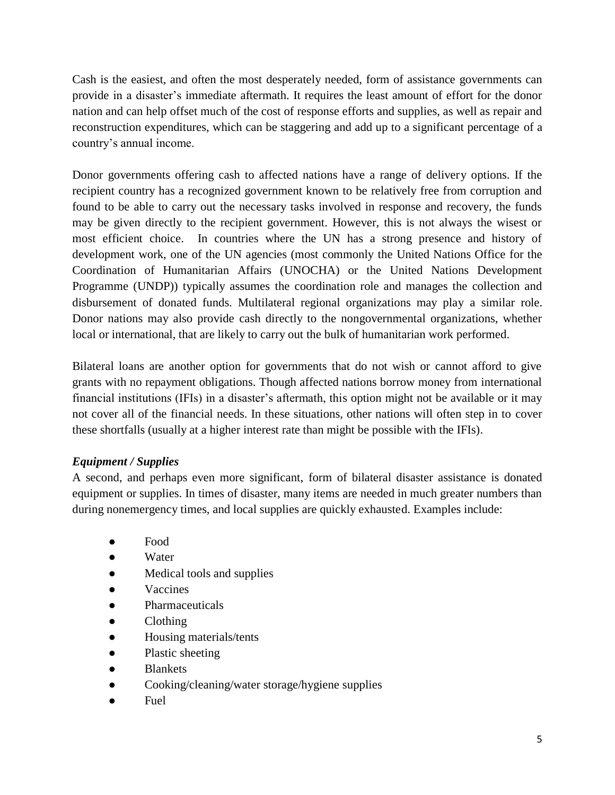Cash is the easiest, and often the most desperately needed, form of assistance governments can provide in a disaster's immediate aftermath. It requires the least amount of effort for the donor nation and can help offset much of the cost of response efforts and supplies, as well as repair and reconstruction expenditures, which can be staggering and add up to a significant percentage of a country's annual income.

Donor governments offering cash to affected nations have a range of delivery options. If the recipient country has a recognized government known to be relatively free from corruption and found to be able to carry out the necessary tasks involved in response and recovery, the funds may be given directly to the recipient government. However, this is not always the wisest or most efficient choice. In countries where the UN has a strong presence and history of development work, one of the UN agencies (most commonly the United Nations Office for the Coordination of Humanitarian Affairs (UNOCHA) or the United Nations Development Programme (UNDP)) typically assumes the coordination role and manages the collection and disbursement of donated funds. Multilateral regional organizations may play a similar role. Donor nations may also provide cash directly to the nongovernmental organizations, whether local or international, that are likely to carry out the bulk of humanitarian work performed.

Bilateral loans are another option for governments that do not wish or cannot afford to give grants with no repayment obligations. Though affected nations borrow money from international financial institutions (IFIs) in a disaster's aftermath, this option might not be available or it may not cover all of the financial needs. In these situations, other nations will often step in to cover these shortfalls (usually at a higher interest rate than might be possible with the IFIs).

## *Equipment / Supplies*

A second, and perhaps even more significant, form of bilateral disaster assistance is donated equipment or supplies. In times of disaster, many items are needed in much greater numbers than during nonemergency times, and local supplies are quickly exhausted. Examples include:

- Food
- Water
- Medical tools and supplies
- Vaccines
- Pharmaceuticals
- Clothing
- Housing materials/tents
- Plastic sheeting
- Blankets
- Cooking/cleaning/water storage/hygiene supplies
- Fuel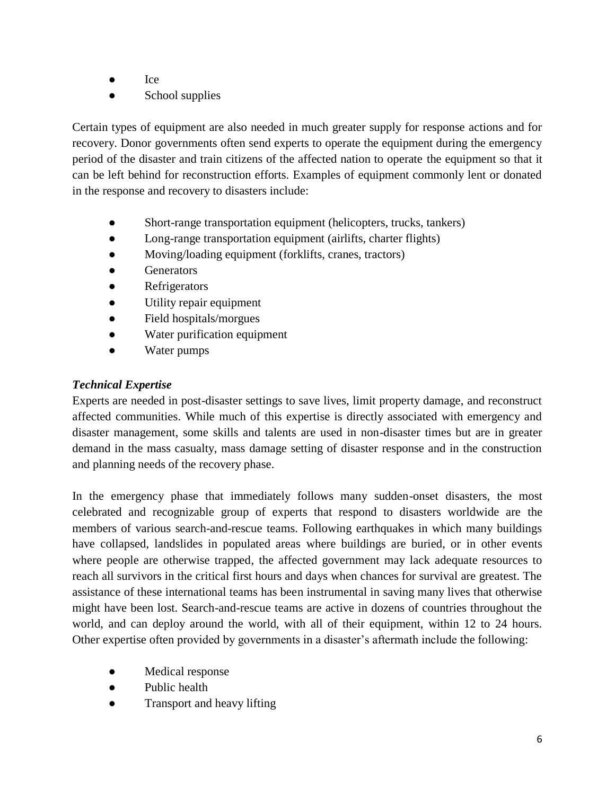- Ice
- School supplies

Certain types of equipment are also needed in much greater supply for response actions and for recovery. Donor governments often send experts to operate the equipment during the emergency period of the disaster and train citizens of the affected nation to operate the equipment so that it can be left behind for reconstruction efforts. Examples of equipment commonly lent or donated in the response and recovery to disasters include:

- Short-range transportation equipment (helicopters, trucks, tankers)
- Long-range transportation equipment (airlifts, charter flights)
- Moving/loading equipment (forklifts, cranes, tractors)
- Generators
- **Refrigerators**
- Utility repair equipment
- Field hospitals/morgues
- Water purification equipment
- Water pumps

## *Technical Expertise*

Experts are needed in post-disaster settings to save lives, limit property damage, and reconstruct affected communities. While much of this expertise is directly associated with emergency and disaster management, some skills and talents are used in non-disaster times but are in greater demand in the mass casualty, mass damage setting of disaster response and in the construction and planning needs of the recovery phase.

In the emergency phase that immediately follows many sudden-onset disasters, the most celebrated and recognizable group of experts that respond to disasters worldwide are the members of various search-and-rescue teams. Following earthquakes in which many buildings have collapsed, landslides in populated areas where buildings are buried, or in other events where people are otherwise trapped, the affected government may lack adequate resources to reach all survivors in the critical first hours and days when chances for survival are greatest. The assistance of these international teams has been instrumental in saving many lives that otherwise might have been lost. Search-and-rescue teams are active in dozens of countries throughout the world, and can deploy around the world, with all of their equipment, within 12 to 24 hours. Other expertise often provided by governments in a disaster's aftermath include the following:

- Medical response
- Public health
- Transport and heavy lifting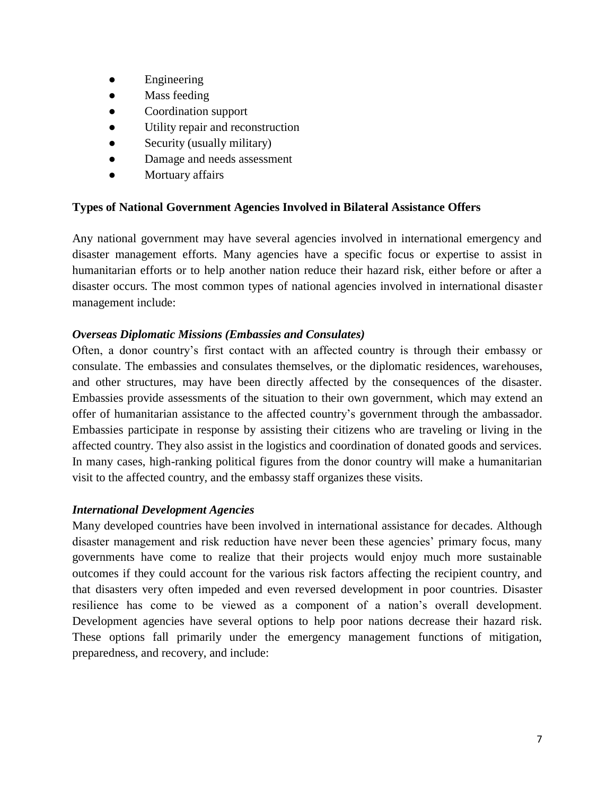- Engineering
- Mass feeding
- Coordination support
- Utility repair and reconstruction
- Security (usually military)
- Damage and needs assessment
- Mortuary affairs

## **Types of National Government Agencies Involved in Bilateral Assistance Offers**

Any national government may have several agencies involved in international emergency and disaster management efforts. Many agencies have a specific focus or expertise to assist in humanitarian efforts or to help another nation reduce their hazard risk, either before or after a disaster occurs. The most common types of national agencies involved in international disaster management include:

## *Overseas Diplomatic Missions (Embassies and Consulates)*

Often, a donor country's first contact with an affected country is through their embassy or consulate. The embassies and consulates themselves, or the diplomatic residences, warehouses, and other structures, may have been directly affected by the consequences of the disaster. Embassies provide assessments of the situation to their own government, which may extend an offer of humanitarian assistance to the affected country's government through the ambassador. Embassies participate in response by assisting their citizens who are traveling or living in the affected country. They also assist in the logistics and coordination of donated goods and services. In many cases, high-ranking political figures from the donor country will make a humanitarian visit to the affected country, and the embassy staff organizes these visits.

## *International Development Agencies*

Many developed countries have been involved in international assistance for decades. Although disaster management and risk reduction have never been these agencies' primary focus, many governments have come to realize that their projects would enjoy much more sustainable outcomes if they could account for the various risk factors affecting the recipient country, and that disasters very often impeded and even reversed development in poor countries. Disaster resilience has come to be viewed as a component of a nation's overall development. Development agencies have several options to help poor nations decrease their hazard risk. These options fall primarily under the emergency management functions of mitigation, preparedness, and recovery, and include: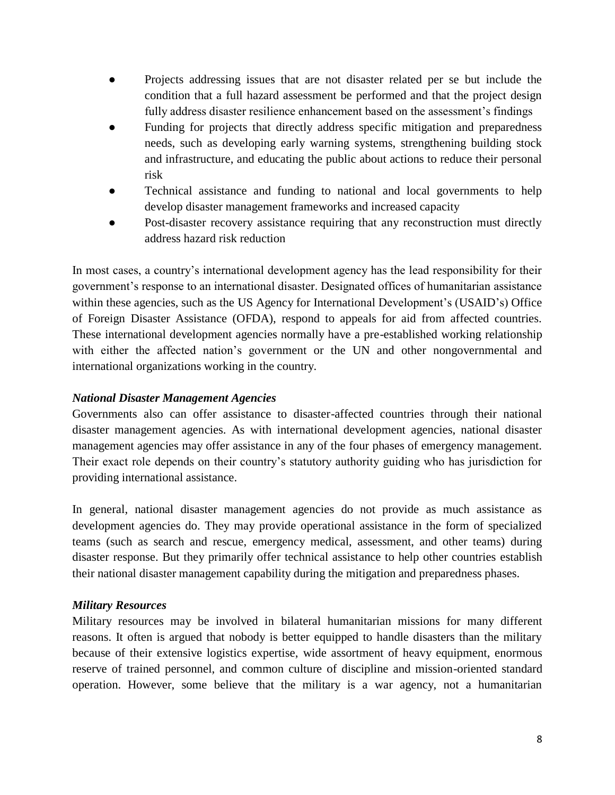- Projects addressing issues that are not disaster related per se but include the condition that a full hazard assessment be performed and that the project design fully address disaster resilience enhancement based on the assessment's findings
- Funding for projects that directly address specific mitigation and preparedness needs, such as developing early warning systems, strengthening building stock and infrastructure, and educating the public about actions to reduce their personal risk
- Technical assistance and funding to national and local governments to help develop disaster management frameworks and increased capacity
- Post-disaster recovery assistance requiring that any reconstruction must directly address hazard risk reduction

In most cases, a country's international development agency has the lead responsibility for their government's response to an international disaster. Designated offices of humanitarian assistance within these agencies, such as the US Agency for International Development's (USAID's) Office of Foreign Disaster Assistance (OFDA), respond to appeals for aid from affected countries. These international development agencies normally have a pre-established working relationship with either the affected nation's government or the UN and other nongovernmental and international organizations working in the country.

## *National Disaster Management Agencies*

Governments also can offer assistance to disaster-affected countries through their national disaster management agencies. As with international development agencies, national disaster management agencies may offer assistance in any of the four phases of emergency management. Their exact role depends on their country's statutory authority guiding who has jurisdiction for providing international assistance.

In general, national disaster management agencies do not provide as much assistance as development agencies do. They may provide operational assistance in the form of specialized teams (such as search and rescue, emergency medical, assessment, and other teams) during disaster response. But they primarily offer technical assistance to help other countries establish their national disaster management capability during the mitigation and preparedness phases.

## *Military Resources*

Military resources may be involved in bilateral humanitarian missions for many different reasons. It often is argued that nobody is better equipped to handle disasters than the military because of their extensive logistics expertise, wide assortment of heavy equipment, enormous reserve of trained personnel, and common culture of discipline and mission-oriented standard operation. However, some believe that the military is a war agency, not a humanitarian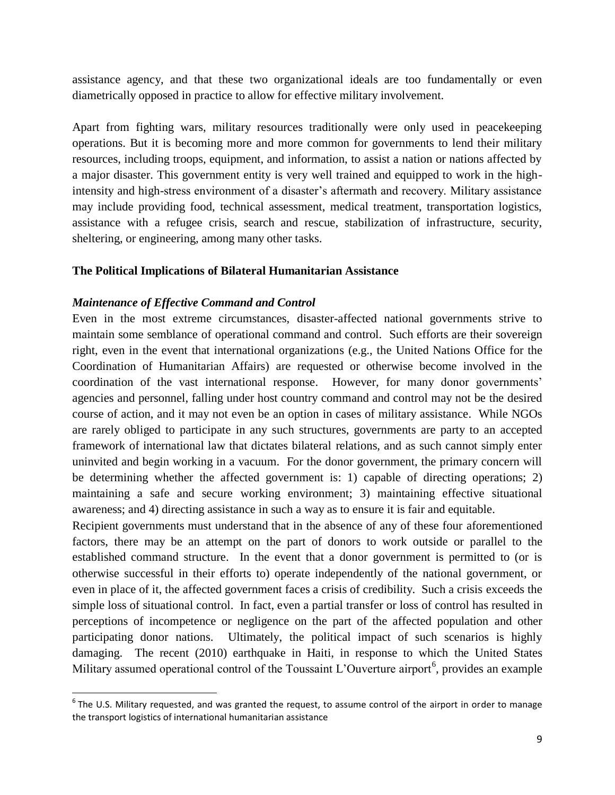assistance agency, and that these two organizational ideals are too fundamentally or even diametrically opposed in practice to allow for effective military involvement.

Apart from fighting wars, military resources traditionally were only used in peacekeeping operations. But it is becoming more and more common for governments to lend their military resources, including troops, equipment, and information, to assist a nation or nations affected by a major disaster. This government entity is very well trained and equipped to work in the highintensity and high-stress environment of a disaster's aftermath and recovery. Military assistance may include providing food, technical assessment, medical treatment, transportation logistics, assistance with a refugee crisis, search and rescue, stabilization of infrastructure, security, sheltering, or engineering, among many other tasks.

## **The Political Implications of Bilateral Humanitarian Assistance**

#### *Maintenance of Effective Command and Control*

 $\overline{a}$ 

Even in the most extreme circumstances, disaster-affected national governments strive to maintain some semblance of operational command and control. Such efforts are their sovereign right, even in the event that international organizations (e.g., the United Nations Office for the Coordination of Humanitarian Affairs) are requested or otherwise become involved in the coordination of the vast international response. However, for many donor governments' agencies and personnel, falling under host country command and control may not be the desired course of action, and it may not even be an option in cases of military assistance. While NGOs are rarely obliged to participate in any such structures, governments are party to an accepted framework of international law that dictates bilateral relations, and as such cannot simply enter uninvited and begin working in a vacuum. For the donor government, the primary concern will be determining whether the affected government is: 1) capable of directing operations; 2) maintaining a safe and secure working environment; 3) maintaining effective situational awareness; and 4) directing assistance in such a way as to ensure it is fair and equitable.

Recipient governments must understand that in the absence of any of these four aforementioned factors, there may be an attempt on the part of donors to work outside or parallel to the established command structure. In the event that a donor government is permitted to (or is otherwise successful in their efforts to) operate independently of the national government, or even in place of it, the affected government faces a crisis of credibility. Such a crisis exceeds the simple loss of situational control. In fact, even a partial transfer or loss of control has resulted in perceptions of incompetence or negligence on the part of the affected population and other participating donor nations. Ultimately, the political impact of such scenarios is highly damaging. The recent (2010) earthquake in Haiti, in response to which the United States Military assumed operational control of the Toussaint L'Ouverture airport<sup>6</sup>, provides an example

 $^6$ The U.S. Military requested, and was granted the request, to assume control of the airport in order to manage the transport logistics of international humanitarian assistance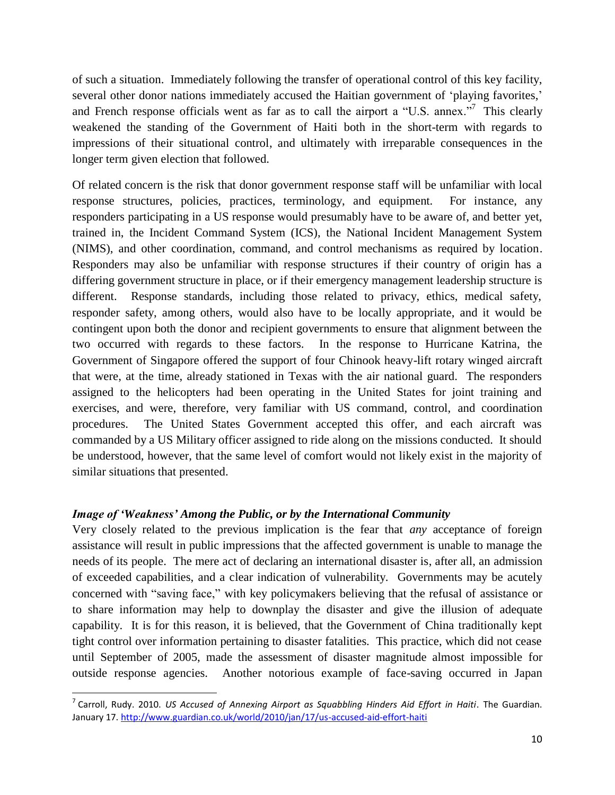of such a situation. Immediately following the transfer of operational control of this key facility, several other donor nations immediately accused the Haitian government of 'playing favorites,' and French response officials went as far as to call the airport a "U.S. annex."<sup>7</sup> This clearly weakened the standing of the Government of Haiti both in the short-term with regards to impressions of their situational control, and ultimately with irreparable consequences in the longer term given election that followed.

Of related concern is the risk that donor government response staff will be unfamiliar with local response structures, policies, practices, terminology, and equipment. For instance, any responders participating in a US response would presumably have to be aware of, and better yet, trained in, the Incident Command System (ICS), the National Incident Management System (NIMS), and other coordination, command, and control mechanisms as required by location. Responders may also be unfamiliar with response structures if their country of origin has a differing government structure in place, or if their emergency management leadership structure is different. Response standards, including those related to privacy, ethics, medical safety, responder safety, among others, would also have to be locally appropriate, and it would be contingent upon both the donor and recipient governments to ensure that alignment between the two occurred with regards to these factors. In the response to Hurricane Katrina, the Government of Singapore offered the support of four Chinook heavy-lift rotary winged aircraft that were, at the time, already stationed in Texas with the air national guard. The responders assigned to the helicopters had been operating in the United States for joint training and exercises, and were, therefore, very familiar with US command, control, and coordination procedures. The United States Government accepted this offer, and each aircraft was commanded by a US Military officer assigned to ride along on the missions conducted. It should be understood, however, that the same level of comfort would not likely exist in the majority of similar situations that presented.

## *Image of 'Weakness' Among the Public, or by the International Community*

 $\overline{a}$ 

Very closely related to the previous implication is the fear that *any* acceptance of foreign assistance will result in public impressions that the affected government is unable to manage the needs of its people. The mere act of declaring an international disaster is, after all, an admission of exceeded capabilities, and a clear indication of vulnerability. Governments may be acutely concerned with "saving face," with key policymakers believing that the refusal of assistance or to share information may help to downplay the disaster and give the illusion of adequate capability. It is for this reason, it is believed, that the Government of China traditionally kept tight control over information pertaining to disaster fatalities. This practice, which did not cease until September of 2005, made the assessment of disaster magnitude almost impossible for outside response agencies. Another notorious example of face-saving occurred in Japan

<sup>7</sup> Carroll, Rudy. 2010. *US Accused of Annexing Airport as Squabbling Hinders Aid Effort in Haiti*. The Guardian. January 17.<http://www.guardian.co.uk/world/2010/jan/17/us-accused-aid-effort-haiti>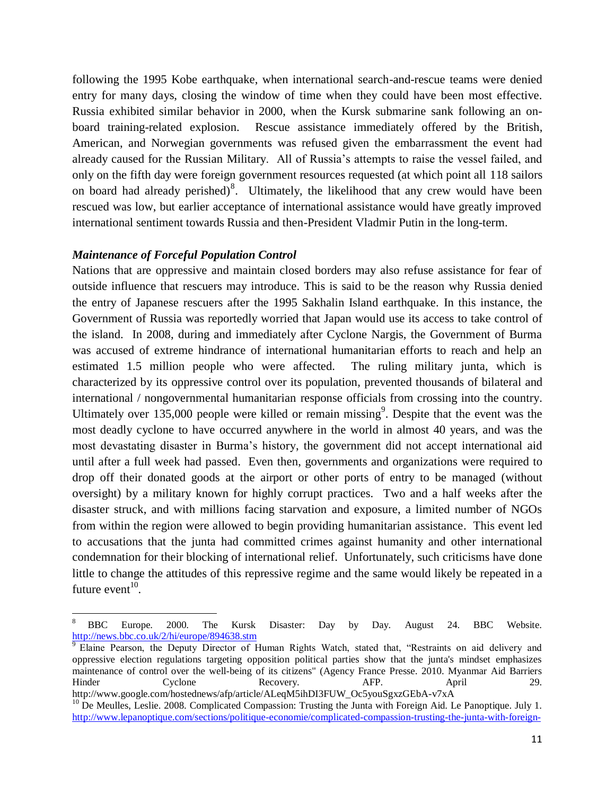following the 1995 Kobe earthquake, when international search-and-rescue teams were denied entry for many days, closing the window of time when they could have been most effective. Russia exhibited similar behavior in 2000, when the Kursk submarine sank following an onboard training-related explosion. Rescue assistance immediately offered by the British, American, and Norwegian governments was refused given the embarrassment the event had already caused for the Russian Military. All of Russia's attempts to raise the vessel failed, and only on the fifth day were foreign government resources requested (at which point all 118 sailors on board had already perished)<sup>8</sup>. Ultimately, the likelihood that any crew would have been rescued was low, but earlier acceptance of international assistance would have greatly improved international sentiment towards Russia and then-President Vladmir Putin in the long-term.

## *Maintenance of Forceful Population Control*

 $\overline{a}$ 

Nations that are oppressive and maintain closed borders may also refuse assistance for fear of outside influence that rescuers may introduce. This is said to be the reason why Russia denied the entry of Japanese rescuers after the 1995 Sakhalin Island earthquake. In this instance, the Government of Russia was reportedly worried that Japan would use its access to take control of the island. In 2008, during and immediately after Cyclone Nargis, the Government of Burma was accused of extreme hindrance of international humanitarian efforts to reach and help an estimated 1.5 million people who were affected. The ruling military junta, which is characterized by its oppressive control over its population, prevented thousands of bilateral and international / nongovernmental humanitarian response officials from crossing into the country. Ultimately over 135,000 people were killed or remain missing<sup>9</sup>. Despite that the event was the most deadly cyclone to have occurred anywhere in the world in almost 40 years, and was the most devastating disaster in Burma's history, the government did not accept international aid until after a full week had passed. Even then, governments and organizations were required to drop off their donated goods at the airport or other ports of entry to be managed (without oversight) by a military known for highly corrupt practices. Two and a half weeks after the disaster struck, and with millions facing starvation and exposure, a limited number of NGOs from within the region were allowed to begin providing humanitarian assistance. This event led to accusations that the junta had committed crimes against humanity and other international condemnation for their blocking of international relief. Unfortunately, such criticisms have done little to change the attitudes of this repressive regime and the same would likely be repeated in a future event $^{10}$ .

 $8$  BBC Europe. 2000. The Kursk Disaster: Day by Day. August 24. BBC Website. <http://news.bbc.co.uk/2/hi/europe/894638.stm>

<sup>9</sup> Elaine Pearson, the Deputy Director of Human Rights Watch, stated that, "Restraints on aid delivery and oppressive election regulations targeting opposition political parties show that the junta's mindset emphasizes maintenance of control over the well-being of its citizens" (Agency France Presse. 2010. Myanmar Aid Barriers Hinder Cyclone Recovery. AFP. April 29. [http://www.google.com/hostednews/afp/article/ALeqM5ihDI3FUW\\_Oc5youSgxzGEbA-v7xA](http://www.google.com/hostednews/afp/article/ALeqM5ihDI3FUW_Oc5youSgxzGEbA-v7xA)

<sup>&</sup>lt;sup>10</sup> De Meulles, Leslie. 2008. Complicated Compassion: Trusting the Junta with Foreign Aid. Le Panoptique. July 1. [http://www.lepanoptique.com/sections/politique-economie/complicated-compassion-trusting-the-junta-with-foreign-](http://www.lepanoptique.com/sections/politique-economie/complicated-compassion-trusting-the-junta-with-foreign-aid/)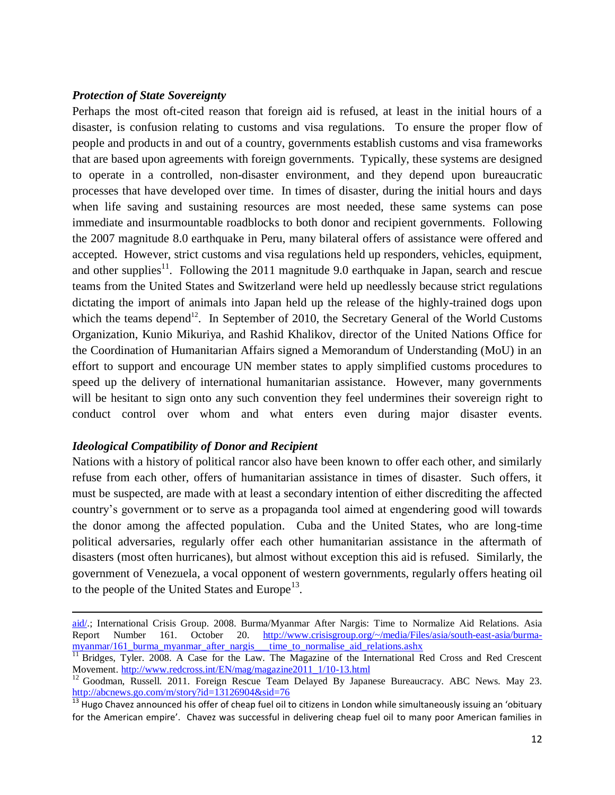#### *Protection of State Sovereignty*

Perhaps the most oft-cited reason that foreign aid is refused, at least in the initial hours of a disaster, is confusion relating to customs and visa regulations. To ensure the proper flow of people and products in and out of a country, governments establish customs and visa frameworks that are based upon agreements with foreign governments. Typically, these systems are designed to operate in a controlled, non-disaster environment, and they depend upon bureaucratic processes that have developed over time. In times of disaster, during the initial hours and days when life saving and sustaining resources are most needed, these same systems can pose immediate and insurmountable roadblocks to both donor and recipient governments. Following the 2007 magnitude 8.0 earthquake in Peru, many bilateral offers of assistance were offered and accepted. However, strict customs and visa regulations held up responders, vehicles, equipment, and other supplies<sup>11</sup>. Following the 2011 magnitude 9.0 earthquake in Japan, search and rescue teams from the United States and Switzerland were held up needlessly because strict regulations dictating the import of animals into Japan held up the release of the highly-trained dogs upon which the teams depend<sup>12</sup>. In September of 2010, the Secretary General of the World Customs Organization, Kunio Mikuriya, and Rashid Khalikov, director of the United Nations Office for the Coordination of Humanitarian Affairs signed a Memorandum of Understanding (MoU) in an effort to support and encourage UN member states to apply simplified customs procedures to speed up the delivery of international humanitarian assistance. However, many governments will be hesitant to sign onto any such convention they feel undermines their sovereign right to conduct control over whom and what enters even during major disaster events.

## *Ideological Compatibility of Donor and Recipient*

 $\overline{a}$ 

Nations with a history of political rancor also have been known to offer each other, and similarly refuse from each other, offers of humanitarian assistance in times of disaster. Such offers, it must be suspected, are made with at least a secondary intention of either discrediting the affected country's government or to serve as a propaganda tool aimed at engendering good will towards the donor among the affected population. Cuba and the United States, who are long-time political adversaries, regularly offer each other humanitarian assistance in the aftermath of disasters (most often hurricanes), but almost without exception this aid is refused. Similarly, the government of Venezuela, a vocal opponent of western governments, regularly offers heating oil to the people of the United States and Europe<sup>13</sup>.

[aid/.](http://www.lepanoptique.com/sections/politique-economie/complicated-compassion-trusting-the-junta-with-foreign-aid/); International Crisis Group. 2008. Burma/Myanmar After Nargis: Time to Normalize Aid Relations. Asia Report Number 161. October 20. [http://www.crisisgroup.org/~/media/Files/asia/south-east-asia/burma](http://www.crisisgroup.org/~/media/Files/asia/south-east-asia/burma-myanmar/161_burma_myanmar_after_nargis___time_to_normalise_aid_relations.ashx)myanmar/161 burma myanmar after nargis time to normalise aid relations.ashx

<sup>&</sup>lt;sup>11</sup> Bridges, Tyler. 2008. A Case for the Law. The Magazine of the International Red Cross and Red Crescent Movement. [http://www.redcross.int/EN/mag/magazine2011\\_1/10-13.html](http://www.redcross.int/EN/mag/magazine2011_1/10-13.html)

<sup>&</sup>lt;sup>12</sup> Goodman, Russell. 2011. Foreign Rescue Team Delayed By Japanese Bureaucracy. ABC News. May 23. <http://abcnews.go.com/m/story?id=13126904&sid=76>

 $13$  Hugo Chavez announced his offer of cheap fuel oil to citizens in London while simultaneously issuing an 'obituary for the American empire'. Chavez was successful in delivering cheap fuel oil to many poor American families in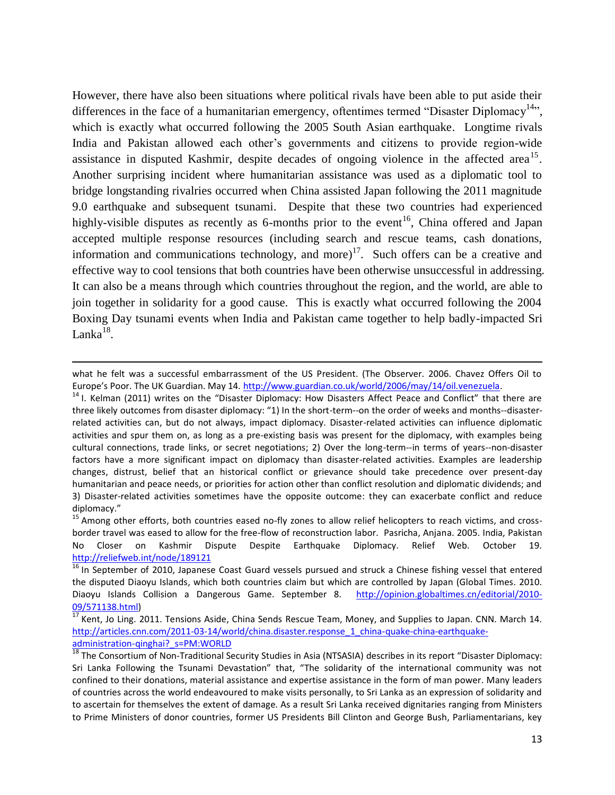However, there have also been situations where political rivals have been able to put aside their differences in the face of a humanitarian emergency, oftentimes termed "Disaster Diplomacy<sup>14</sup>", which is exactly what occurred following the 2005 South Asian earthquake. Longtime rivals India and Pakistan allowed each other's governments and citizens to provide region-wide assistance in disputed Kashmir, despite decades of ongoing violence in the affected area<sup>15</sup>. Another surprising incident where humanitarian assistance was used as a diplomatic tool to bridge longstanding rivalries occurred when China assisted Japan following the 2011 magnitude 9.0 earthquake and subsequent tsunami. Despite that these two countries had experienced highly-visible disputes as recently as 6-months prior to the event<sup>16</sup>. China offered and Japan accepted multiple response resources (including search and rescue teams, cash donations, information and communications technology, and more)<sup>17</sup>. Such offers can be a creative and effective way to cool tensions that both countries have been otherwise unsuccessful in addressing. It can also be a means through which countries throughout the region, and the world, are able to join together in solidarity for a good cause. This is exactly what occurred following the 2004 Boxing Day tsunami events when India and Pakistan came together to help badly-impacted Sri Lanka $^{18}$ .

 $\overline{a}$ 

what he felt was a successful embarrassment of the US President. (The Observer. 2006. Chavez Offers Oil to Europe's Poor. The UK Guardian. May 14. [http://www.guardian.co.uk/world/2006/may/14/oil.venezuela.](http://www.guardian.co.uk/world/2006/may/14/oil.venezuela)

<sup>&</sup>lt;sup>14</sup> I. Kelman (2011) writes on the "Disaster Diplomacy: How Disasters Affect Peace and Conflict" that there are three likely outcomes from disaster diplomacy: "1) In the short-term--on the order of weeks and months--disasterrelated activities can, but do not always, impact diplomacy. Disaster-related activities can influence diplomatic activities and spur them on, as long as a pre-existing basis was present for the diplomacy, with examples being cultural connections, trade links, or secret negotiations; 2) Over the long-term--in terms of years--non-disaster factors have a more significant impact on diplomacy than disaster-related activities. Examples are leadership changes, distrust, belief that an historical conflict or grievance should take precedence over present-day humanitarian and peace needs, or priorities for action other than conflict resolution and diplomatic dividends; and 3) Disaster-related activities sometimes have the opposite outcome: they can exacerbate conflict and reduce diplomacy."

<sup>&</sup>lt;sup>15</sup> Among other efforts, both countries eased no-fly zones to allow relief helicopters to reach victims, and crossborder travel was eased to allow for the free-flow of reconstruction labor. Pasricha, Anjana. 2005. India, Pakistan No Closer on Kashmir Dispute Despite Earthquake Diplomacy. Relief Web. October 19. <http://reliefweb.int/node/189121>

 $\frac{16}{16}$  In September of 2010, Japanese Coast Guard vessels pursued and struck a Chinese fishing vessel that entered the disputed Diaoyu Islands, which both countries claim but which are controlled by Japan (Global Times. 2010. Diaoyu Islands Collision a Dangerous Game. September 8. [http://opinion.globaltimes.cn/editorial/2010-](http://opinion.globaltimes.cn/editorial/2010-09/571138.html) [09/571138.html\)](http://opinion.globaltimes.cn/editorial/2010-09/571138.html)

<sup>17</sup> Kent, Jo Ling. 2011. Tensions Aside, China Sends Rescue Team, Money, and Supplies to Japan. CNN. March 14. [http://articles.cnn.com/2011-03-14/world/china.disaster.response\\_1\\_china-quake-china-earthquake](http://articles.cnn.com/2011-03-14/world/china.disaster.response_1_china-quake-china-earthquake-administration-qinghai?_s=PM:WORLD)administration-qinghai? s=PM:WORLD

<sup>&</sup>lt;sup>18</sup> The Consortium of Non-Traditional Security Studies in Asia (NTSASIA) describes in its report "Disaster Diplomacy: Sri Lanka Following the Tsunami Devastation" that, "The solidarity of the international community was not confined to their donations, material assistance and expertise assistance in the form of man power. Many leaders of countries across the world endeavoured to make visits personally, to Sri Lanka as an expression of solidarity and to ascertain for themselves the extent of damage. As a result Sri Lanka received dignitaries ranging from Ministers to Prime Ministers of donor countries, former US Presidents Bill Clinton and George Bush, Parliamentarians, key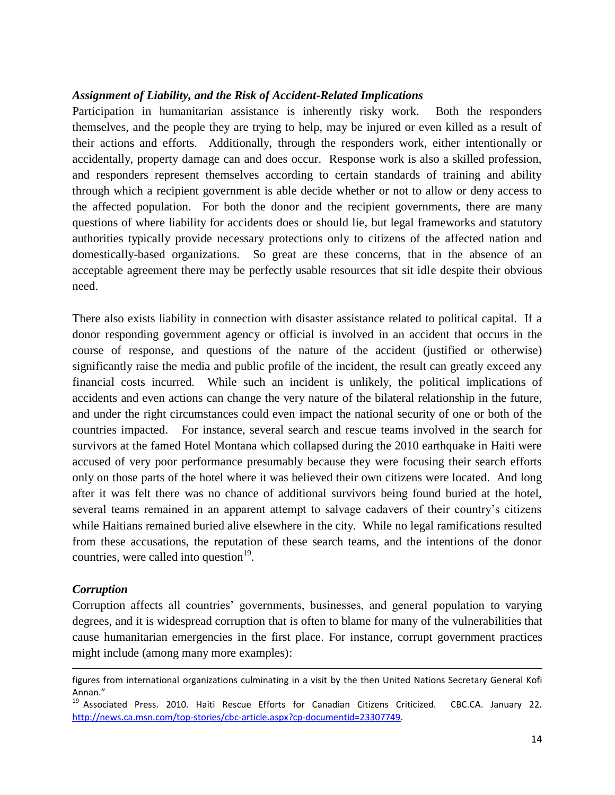## *Assignment of Liability, and the Risk of Accident-Related Implications*

Participation in humanitarian assistance is inherently risky work. Both the responders themselves, and the people they are trying to help, may be injured or even killed as a result of their actions and efforts. Additionally, through the responders work, either intentionally or accidentally, property damage can and does occur. Response work is also a skilled profession, and responders represent themselves according to certain standards of training and ability through which a recipient government is able decide whether or not to allow or deny access to the affected population. For both the donor and the recipient governments, there are many questions of where liability for accidents does or should lie, but legal frameworks and statutory authorities typically provide necessary protections only to citizens of the affected nation and domestically-based organizations. So great are these concerns, that in the absence of an acceptable agreement there may be perfectly usable resources that sit idle despite their obvious need.

There also exists liability in connection with disaster assistance related to political capital. If a donor responding government agency or official is involved in an accident that occurs in the course of response, and questions of the nature of the accident (justified or otherwise) significantly raise the media and public profile of the incident, the result can greatly exceed any financial costs incurred. While such an incident is unlikely, the political implications of accidents and even actions can change the very nature of the bilateral relationship in the future, and under the right circumstances could even impact the national security of one or both of the countries impacted. For instance, several search and rescue teams involved in the search for survivors at the famed Hotel Montana which collapsed during the 2010 earthquake in Haiti were accused of very poor performance presumably because they were focusing their search efforts only on those parts of the hotel where it was believed their own citizens were located. And long after it was felt there was no chance of additional survivors being found buried at the hotel, several teams remained in an apparent attempt to salvage cadavers of their country's citizens while Haitians remained buried alive elsewhere in the city. While no legal ramifications resulted from these accusations, the reputation of these search teams, and the intentions of the donor countries, were called into question $19$ .

#### *Corruption*

 $\overline{a}$ 

Corruption affects all countries' governments, businesses, and general population to varying degrees, and it is widespread corruption that is often to blame for many of the vulnerabilities that cause humanitarian emergencies in the first place. For instance, corrupt government practices might include (among many more examples):

figures from international organizations culminating in a visit by the then United Nations Secretary General Kofi Annan."

<sup>&</sup>lt;sup>19</sup> Associated Press. 2010. Haiti Rescue Efforts for Canadian Citizens Criticized. CBC.CA. January 22. [http://news.ca.msn.com/top-stories/cbc-article.aspx?cp-documentid=23307749.](http://news.ca.msn.com/top-stories/cbc-article.aspx?cp-documentid=23307749)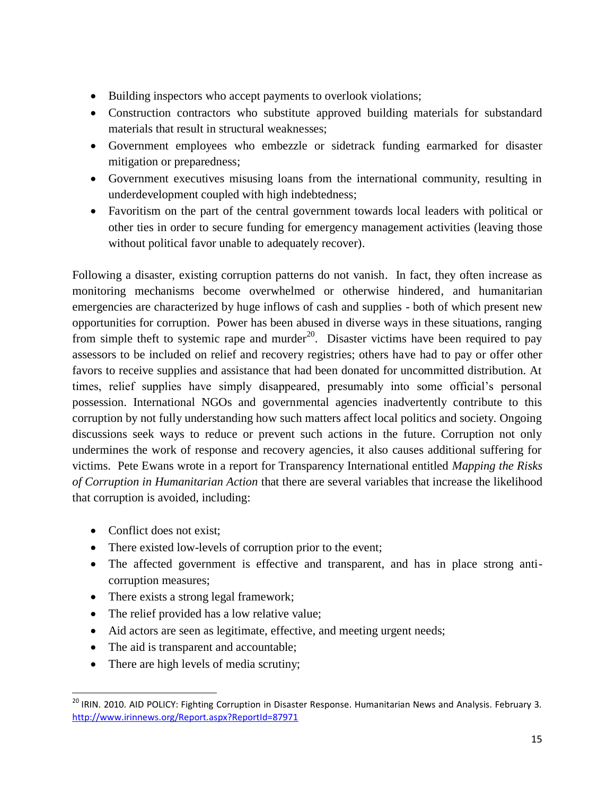- Building inspectors who accept payments to overlook violations;
- Construction contractors who substitute approved building materials for substandard materials that result in structural weaknesses;
- Government employees who embezzle or sidetrack funding earmarked for disaster mitigation or preparedness;
- Government executives misusing loans from the international community, resulting in underdevelopment coupled with high indebtedness;
- Favoritism on the part of the central government towards local leaders with political or other ties in order to secure funding for emergency management activities (leaving those without political favor unable to adequately recover).

Following a disaster, existing corruption patterns do not vanish. In fact, they often increase as monitoring mechanisms become overwhelmed or otherwise hindered, and humanitarian emergencies are characterized by huge inflows of cash and supplies - both of which present new opportunities for corruption. Power has been abused in diverse ways in these situations, ranging from simple theft to systemic rape and murder<sup>20</sup>. Disaster victims have been required to pay assessors to be included on relief and recovery registries; others have had to pay or offer other favors to receive supplies and assistance that had been donated for uncommitted distribution. At times, relief supplies have simply disappeared, presumably into some official's personal possession. International NGOs and governmental agencies inadvertently contribute to this corruption by not fully understanding how such matters affect local politics and society. Ongoing discussions seek ways to reduce or prevent such actions in the future. Corruption not only undermines the work of response and recovery agencies, it also causes additional suffering for victims. Pete Ewans wrote in a report for Transparency International entitled *Mapping the Risks of Corruption in Humanitarian Action* that there are several variables that increase the likelihood that corruption is avoided, including:

• Conflict does not exist:

 $\overline{a}$ 

- There existed low-levels of corruption prior to the event;
- The affected government is effective and transparent, and has in place strong anticorruption measures;
- There exists a strong legal framework;
- The relief provided has a low relative value;
- Aid actors are seen as legitimate, effective, and meeting urgent needs;
- The aid is transparent and accountable;
- There are high levels of media scrutiny;

<sup>&</sup>lt;sup>20</sup> IRIN. 2010. AID POLICY: Fighting Corruption in Disaster Response. Humanitarian News and Analysis. February 3. <http://www.irinnews.org/Report.aspx?ReportId=87971>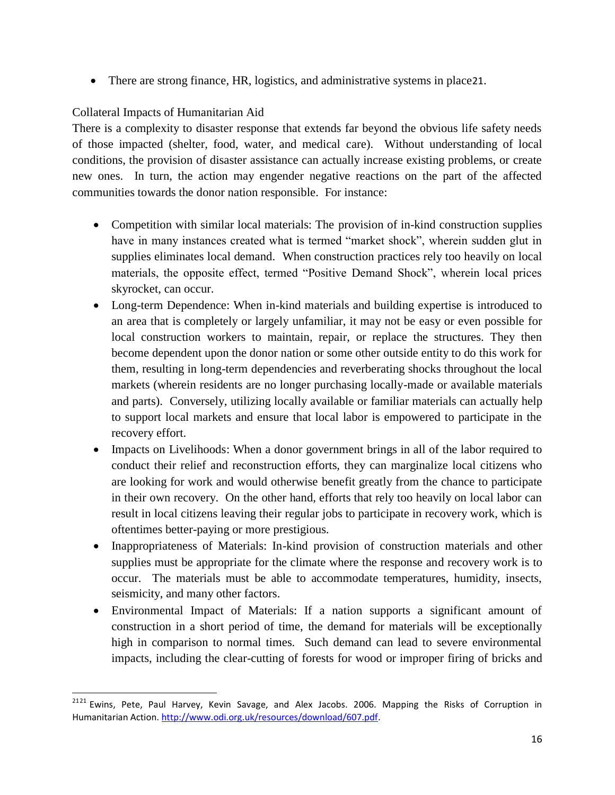There are strong finance, HR, logistics, and administrative systems in place21.

## Collateral Impacts of Humanitarian Aid

 $\overline{a}$ 

There is a complexity to disaster response that extends far beyond the obvious life safety needs of those impacted (shelter, food, water, and medical care). Without understanding of local conditions, the provision of disaster assistance can actually increase existing problems, or create new ones. In turn, the action may engender negative reactions on the part of the affected communities towards the donor nation responsible. For instance:

- Competition with similar local materials: The provision of in-kind construction supplies have in many instances created what is termed "market shock", wherein sudden glut in supplies eliminates local demand. When construction practices rely too heavily on local materials, the opposite effect, termed "Positive Demand Shock", wherein local prices skyrocket, can occur.
- Long-term Dependence: When in-kind materials and building expertise is introduced to an area that is completely or largely unfamiliar, it may not be easy or even possible for local construction workers to maintain, repair, or replace the structures. They then become dependent upon the donor nation or some other outside entity to do this work for them, resulting in long-term dependencies and reverberating shocks throughout the local markets (wherein residents are no longer purchasing locally-made or available materials and parts). Conversely, utilizing locally available or familiar materials can actually help to support local markets and ensure that local labor is empowered to participate in the recovery effort.
- Impacts on Livelihoods: When a donor government brings in all of the labor required to conduct their relief and reconstruction efforts, they can marginalize local citizens who are looking for work and would otherwise benefit greatly from the chance to participate in their own recovery. On the other hand, efforts that rely too heavily on local labor can result in local citizens leaving their regular jobs to participate in recovery work, which is oftentimes better-paying or more prestigious.
- Inappropriateness of Materials: In-kind provision of construction materials and other supplies must be appropriate for the climate where the response and recovery work is to occur. The materials must be able to accommodate temperatures, humidity, insects, seismicity, and many other factors.
- Environmental Impact of Materials: If a nation supports a significant amount of construction in a short period of time, the demand for materials will be exceptionally high in comparison to normal times. Such demand can lead to severe environmental impacts, including the clear-cutting of forests for wood or improper firing of bricks and

<sup>&</sup>lt;sup>2121</sup> Ewins, Pete, Paul Harvey, Kevin Savage, and Alex Jacobs. 2006. Mapping the Risks of Corruption in Humanitarian Action. [http://www.odi.org.uk/resources/download/607.pdf.](http://www.odi.org.uk/resources/download/607.pdf)